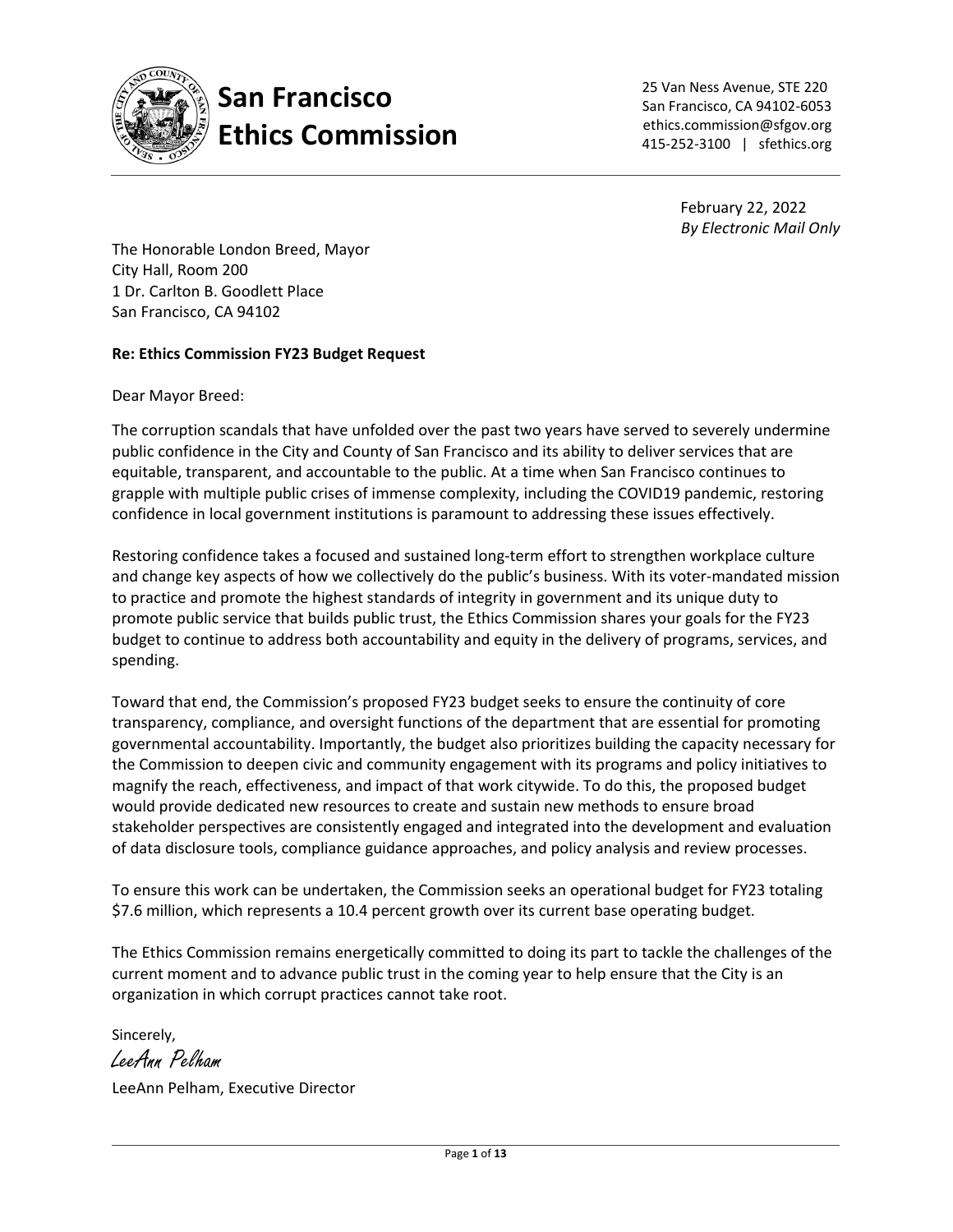

**San Francisco Ethics Commission**  25 Van Ness Avenue, STE 220 San Francisco, CA 94102-6053 ethics.commission@sfgov.org 415-252-3100 | sfethics.org

> February 22, 2022 *By Electronic Mail Only*

The Honorable London Breed, Mayor City Hall, Room 200 1 Dr. Carlton B. Goodlett Place San Francisco, CA 94102

#### **Re: Ethics Commission FY23 Budget Request**

Dear Mayor Breed:

The corruption scandals that have unfolded over the past two years have served to severely undermine public confidence in the City and County of San Francisco and its ability to deliver services that are equitable, transparent, and accountable to the public. At a time when San Francisco continues to grapple with multiple public crises of immense complexity, including the COVID19 pandemic, restoring confidence in local government institutions is paramount to addressing these issues effectively.

Restoring confidence takes a focused and sustained long-term effort to strengthen workplace culture and change key aspects of how we collectively do the public's business. With its voter-mandated mission to practice and promote the highest standards of integrity in government and its unique duty to promote public service that builds public trust, the Ethics Commission shares your goals for the FY23 budget to continue to address both accountability and equity in the delivery of programs, services, and spending.

Toward that end, the Commission's proposed FY23 budget seeks to ensure the continuity of core transparency, compliance, and oversight functions of the department that are essential for promoting governmental accountability. Importantly, the budget also prioritizes building the capacity necessary for the Commission to deepen civic and community engagement with its programs and policy initiatives to magnify the reach, effectiveness, and impact of that work citywide. To do this, the proposed budget would provide dedicated new resources to create and sustain new methods to ensure broad stakeholder perspectives are consistently engaged and integrated into the development and evaluation of data disclosure tools, compliance guidance approaches, and policy analysis and review processes.

To ensure this work can be undertaken, the Commission seeks an operational budget for FY23 totaling \$7.6 million, which represents a 10.4 percent growth over its current base operating budget.

The Ethics Commission remains energetically committed to doing its part to tackle the challenges of the current moment and to advance public trust in the coming year to help ensure that the City is an organization in which corrupt practices cannot take root.

Sincerely,

LeeAnn Pelham

LeeAnn Pelham, Executive Director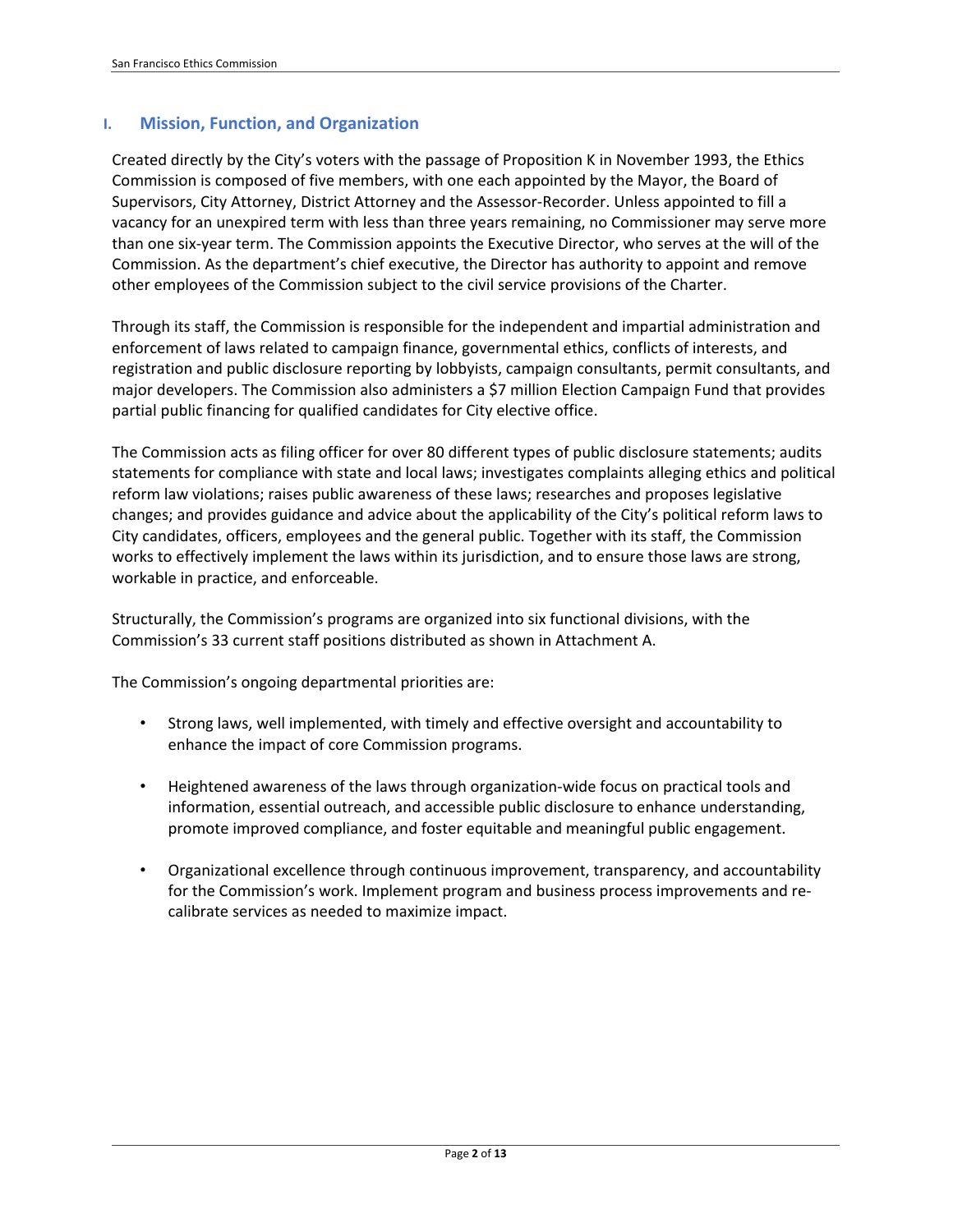### **I. Mission, Function, and Organization**

Created directly by the City's voters with the passage of Proposition K in November 1993, the Ethics Commission is composed of five members, with one each appointed by the Mayor, the Board of Supervisors, City Attorney, District Attorney and the Assessor-Recorder. Unless appointed to fill a vacancy for an unexpired term with less than three years remaining, no Commissioner may serve more than one six-year term. The Commission appoints the Executive Director, who serves at the will of the Commission. As the department's chief executive, the Director has authority to appoint and remove other employees of the Commission subject to the civil service provisions of the Charter.

Through its staff, the Commission is responsible for the independent and impartial administration and enforcement of laws related to campaign finance, governmental ethics, conflicts of interests, and registration and public disclosure reporting by lobbyists, campaign consultants, permit consultants, and major developers. The Commission also administers a \$7 million Election Campaign Fund that provides partial public financing for qualified candidates for City elective office.

The Commission acts as filing officer for over 80 different types of public disclosure statements; audits statements for compliance with state and local laws; investigates complaints alleging ethics and political reform law violations; raises public awareness of these laws; researches and proposes legislative changes; and provides guidance and advice about the applicability of the City's political reform laws to City candidates, officers, employees and the general public. Together with its staff, the Commission works to effectively implement the laws within its jurisdiction, and to ensure those laws are strong, workable in practice, and enforceable.

Structurally, the Commission's programs are organized into six functional divisions, with the Commission's 33 current staff positions distributed as shown in Attachment A.

The Commission's ongoing departmental priorities are:

- Strong laws, well implemented, with timely and effective oversight and accountability to enhance the impact of core Commission programs.
- Heightened awareness of the laws through organization-wide focus on practical tools and information, essential outreach, and accessible public disclosure to enhance understanding, promote improved compliance, and foster equitable and meaningful public engagement.
- Organizational excellence through continuous improvement, transparency, and accountability for the Commission's work. Implement program and business process improvements and recalibrate services as needed to maximize impact.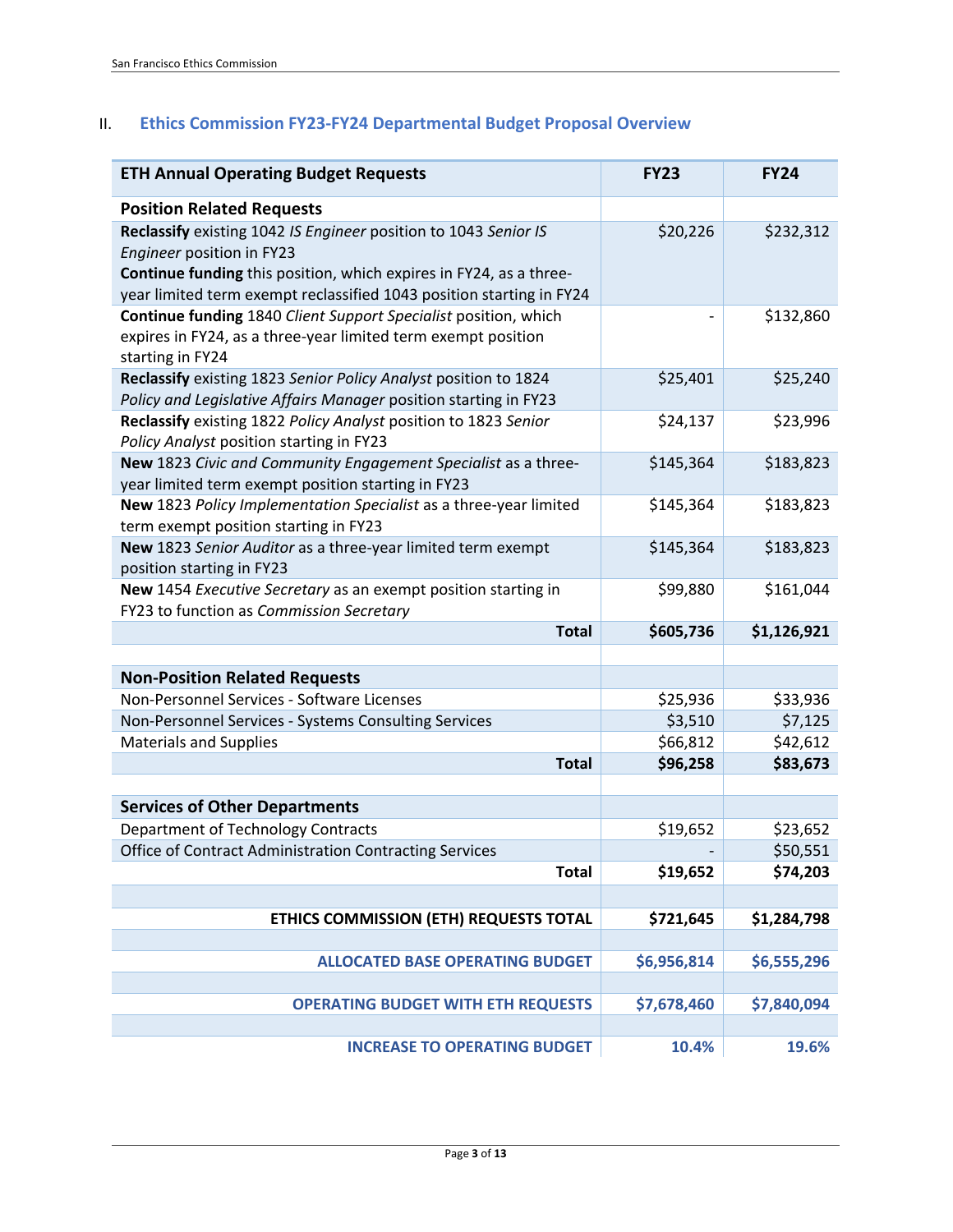# II. **Ethics Commission FY23-FY24 Departmental Budget Proposal Overview**

| <b>ETH Annual Operating Budget Requests</b>                                                                | <b>FY23</b> | <b>FY24</b> |
|------------------------------------------------------------------------------------------------------------|-------------|-------------|
| <b>Position Related Requests</b>                                                                           |             |             |
| Reclassify existing 1042 IS Engineer position to 1043 Senior IS                                            | \$20,226    | \$232,312   |
| Engineer position in FY23                                                                                  |             |             |
| Continue funding this position, which expires in FY24, as a three-                                         |             |             |
| year limited term exempt reclassified 1043 position starting in FY24                                       |             |             |
| Continue funding 1840 Client Support Specialist position, which                                            |             | \$132,860   |
| expires in FY24, as a three-year limited term exempt position                                              |             |             |
| starting in FY24                                                                                           |             |             |
| Reclassify existing 1823 Senior Policy Analyst position to 1824                                            | \$25,401    | \$25,240    |
| Policy and Legislative Affairs Manager position starting in FY23                                           |             |             |
| Reclassify existing 1822 Policy Analyst position to 1823 Senior                                            | \$24,137    | \$23,996    |
| Policy Analyst position starting in FY23                                                                   |             |             |
| New 1823 Civic and Community Engagement Specialist as a three-                                             | \$145,364   | \$183,823   |
| year limited term exempt position starting in FY23                                                         |             |             |
| New 1823 Policy Implementation Specialist as a three-year limited<br>term exempt position starting in FY23 | \$145,364   | \$183,823   |
| New 1823 Senior Auditor as a three-year limited term exempt                                                | \$145,364   | \$183,823   |
| position starting in FY23                                                                                  |             |             |
| New 1454 Executive Secretary as an exempt position starting in                                             | \$99,880    | \$161,044   |
| FY23 to function as Commission Secretary                                                                   |             |             |
| <b>Total</b>                                                                                               | \$605,736   | \$1,126,921 |
|                                                                                                            |             |             |
| <b>Non-Position Related Requests</b><br>Non-Personnel Services - Software Licenses                         | \$25,936    | \$33,936    |
| Non-Personnel Services - Systems Consulting Services                                                       | \$3,510     | \$7,125     |
| <b>Materials and Supplies</b>                                                                              | \$66,812    | \$42,612    |
| <b>Total</b>                                                                                               | \$96,258    | \$83,673    |
|                                                                                                            |             |             |
| <b>Services of Other Departments</b>                                                                       |             |             |
| Department of Technology Contracts                                                                         | \$19,652    | \$23,652    |
| Office of Contract Administration Contracting Services                                                     |             | \$50,551    |
| <b>Total</b>                                                                                               | \$19,652    | \$74,203    |
|                                                                                                            |             |             |
| ETHICS COMMISSION (ETH) REQUESTS TOTAL                                                                     | \$721,645   | \$1,284,798 |
|                                                                                                            |             |             |
| <b>ALLOCATED BASE OPERATING BUDGET</b>                                                                     | \$6,956,814 | \$6,555,296 |
|                                                                                                            |             |             |
| <b>OPERATING BUDGET WITH ETH REQUESTS</b>                                                                  | \$7,678,460 | \$7,840,094 |
|                                                                                                            |             |             |
| <b>INCREASE TO OPERATING BUDGET</b>                                                                        | 10.4%       | 19.6%       |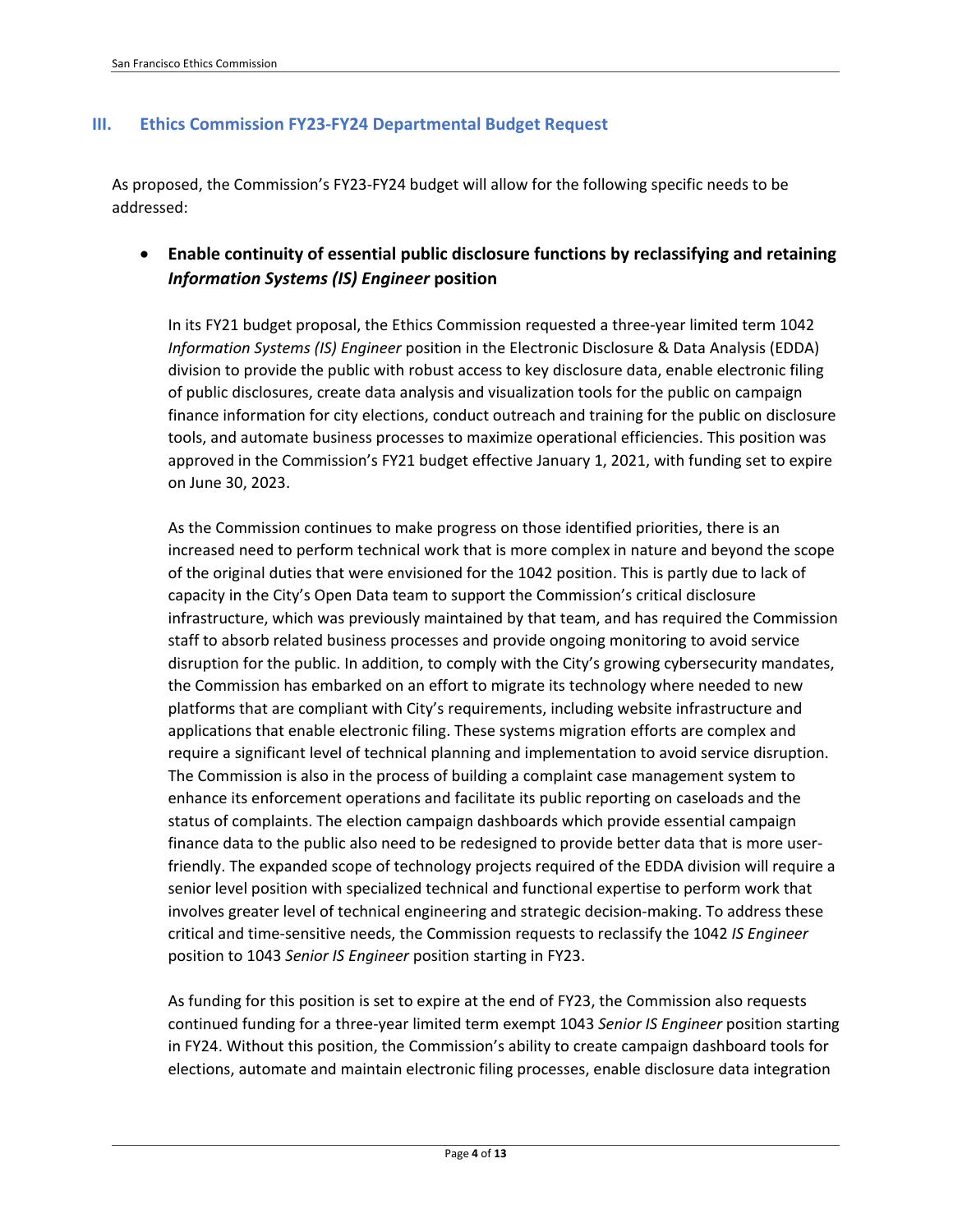### **III. Ethics Commission FY23-FY24 Departmental Budget Request**

As proposed, the Commission's FY23-FY24 budget will allow for the following specific needs to be addressed:

## • **Enable continuity of essential public disclosure functions by reclassifying and retaining**  *Information Systems (IS) Engineer* **position**

In its FY21 budget proposal, the Ethics Commission requested a three-year limited term 1042 *Information Systems (IS) Engineer* position in the Electronic Disclosure & Data Analysis (EDDA) division to provide the public with robust access to key disclosure data, enable electronic filing of public disclosures, create data analysis and visualization tools for the public on campaign finance information for city elections, conduct outreach and training for the public on disclosure tools, and automate business processes to maximize operational efficiencies. This position was approved in the Commission's FY21 budget effective January 1, 2021, with funding set to expire on June 30, 2023.

As the Commission continues to make progress on those identified priorities, there is an increased need to perform technical work that is more complex in nature and beyond the scope of the original duties that were envisioned for the 1042 position. This is partly due to lack of capacity in the City's Open Data team to support the Commission's critical disclosure infrastructure, which was previously maintained by that team, and has required the Commission staff to absorb related business processes and provide ongoing monitoring to avoid service disruption for the public. In addition, to comply with the City's growing cybersecurity mandates, the Commission has embarked on an effort to migrate its technology where needed to new platforms that are compliant with City's requirements, including website infrastructure and applications that enable electronic filing. These systems migration efforts are complex and require a significant level of technical planning and implementation to avoid service disruption. The Commission is also in the process of building a complaint case management system to enhance its enforcement operations and facilitate its public reporting on caseloads and the status of complaints. The election campaign dashboards which provide essential campaign finance data to the public also need to be redesigned to provide better data that is more userfriendly. The expanded scope of technology projects required of the EDDA division will require a senior level position with specialized technical and functional expertise to perform work that involves greater level of technical engineering and strategic decision-making. To address these critical and time-sensitive needs, the Commission requests to reclassify the 1042 *IS Engineer* position to 1043 *Senior IS Engineer* position starting in FY23.

As funding for this position is set to expire at the end of FY23, the Commission also requests continued funding for a three-year limited term exempt 1043 *Senior IS Engineer* position starting in FY24. Without this position, the Commission's ability to create campaign dashboard tools for elections, automate and maintain electronic filing processes, enable disclosure data integration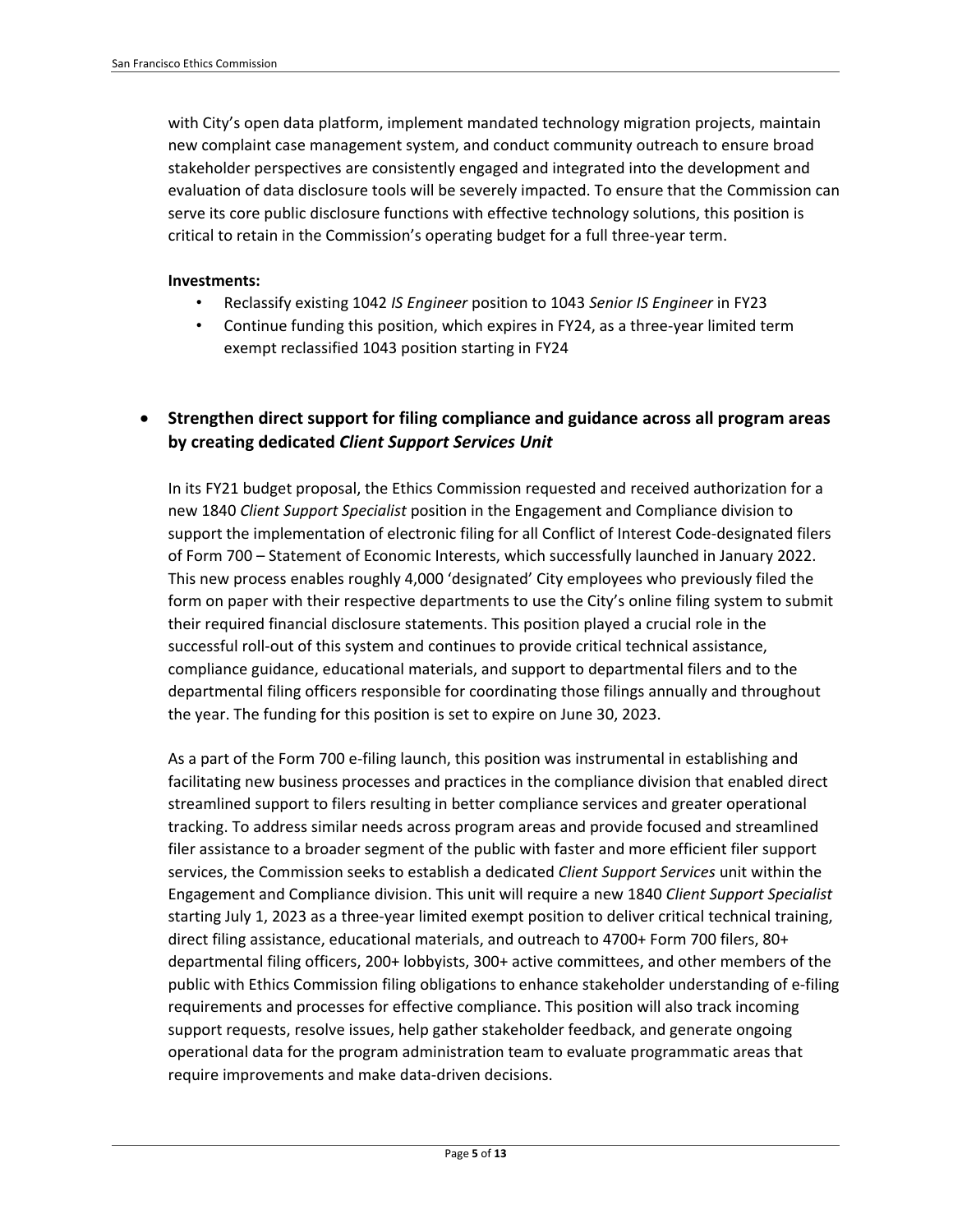with City's open data platform, implement mandated technology migration projects, maintain new complaint case management system, and conduct community outreach to ensure broad stakeholder perspectives are consistently engaged and integrated into the development and evaluation of data disclosure tools will be severely impacted. To ensure that the Commission can serve its core public disclosure functions with effective technology solutions, this position is critical to retain in the Commission's operating budget for a full three-year term.

#### **Investments:**

- Reclassify existing 1042 *IS Engineer* position to 1043 *Senior IS Engineer* in FY23
- Continue funding this position, which expires in FY24, as a three-year limited term exempt reclassified 1043 position starting in FY24

### • **Strengthen direct support for filing compliance and guidance across all program areas by creating dedicated** *Client Support Services Unit*

In its FY21 budget proposal, the Ethics Commission requested and received authorization for a new 1840 *Client Support Specialist* position in the Engagement and Compliance division to support the implementation of electronic filing for all Conflict of Interest Code-designated filers of Form 700 – Statement of Economic Interests, which successfully launched in January 2022. This new process enables roughly 4,000 'designated' City employees who previously filed the form on paper with their respective departments to use the City's online filing system to submit their required financial disclosure statements. This position played a crucial role in the successful roll-out of this system and continues to provide critical technical assistance, compliance guidance, educational materials, and support to departmental filers and to the departmental filing officers responsible for coordinating those filings annually and throughout the year. The funding for this position is set to expire on June 30, 2023.

As a part of the Form 700 e-filing launch, this position was instrumental in establishing and facilitating new business processes and practices in the compliance division that enabled direct streamlined support to filers resulting in better compliance services and greater operational tracking. To address similar needs across program areas and provide focused and streamlined filer assistance to a broader segment of the public with faster and more efficient filer support services, the Commission seeks to establish a dedicated *Client Support Services* unit within the Engagement and Compliance division. This unit will require a new 1840 *Client Support Specialist* starting July 1, 2023 as a three-year limited exempt position to deliver critical technical training, direct filing assistance, educational materials, and outreach to 4700+ Form 700 filers, 80+ departmental filing officers, 200+ lobbyists, 300+ active committees, and other members of the public with Ethics Commission filing obligations to enhance stakeholder understanding of e-filing requirements and processes for effective compliance. This position will also track incoming support requests, resolve issues, help gather stakeholder feedback, and generate ongoing operational data for the program administration team to evaluate programmatic areas that require improvements and make data-driven decisions.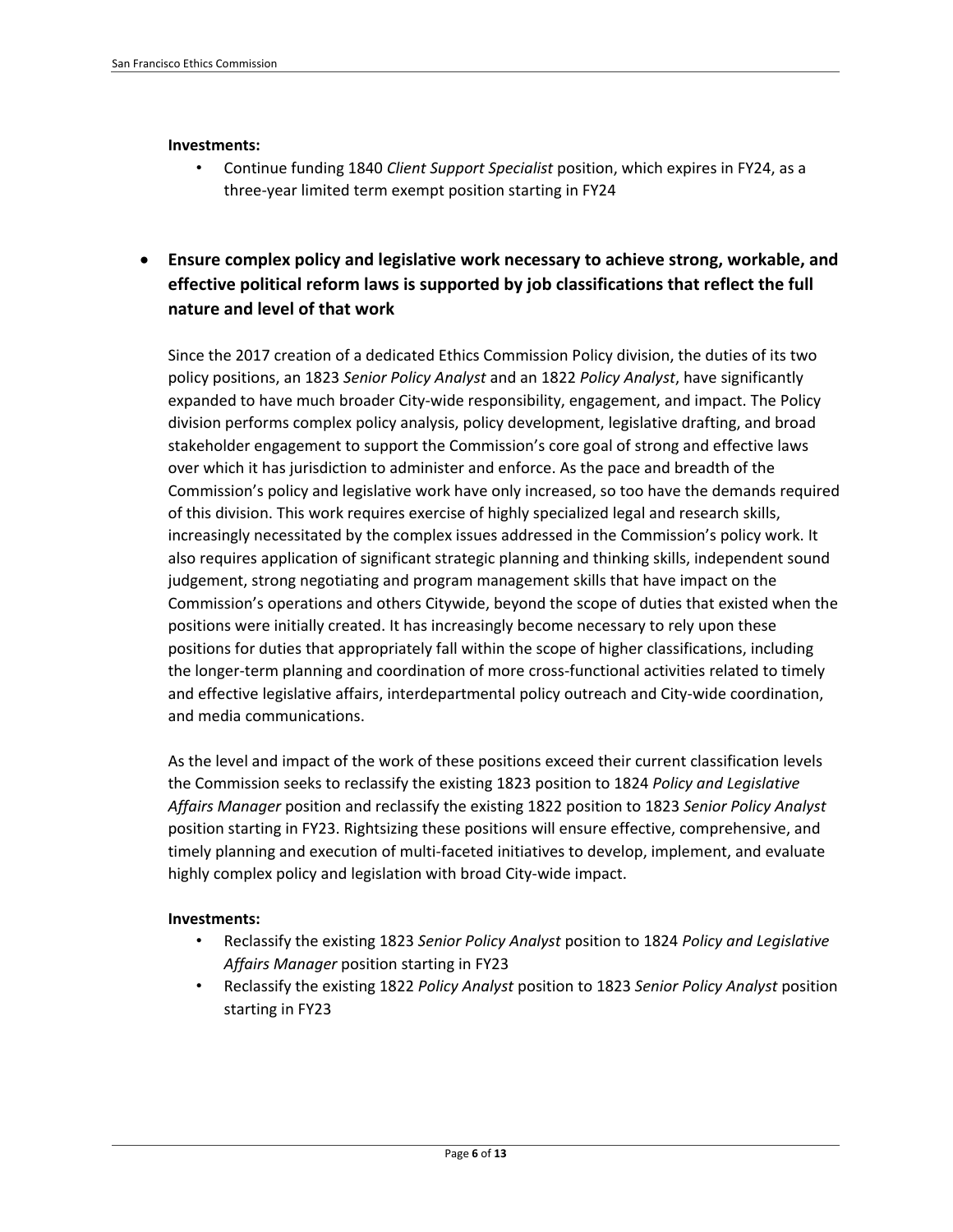#### **Investments:**

• Continue funding 1840 *Client Support Specialist* position, which expires in FY24, as a three-year limited term exempt position starting in FY24

## • **Ensure complex policy and legislative work necessary to achieve strong, workable, and effective political reform laws is supported by job classifications that reflect the full nature and level of that work**

Since the 2017 creation of a dedicated Ethics Commission Policy division, the duties of its two policy positions, an 1823 *Senior Policy Analyst* and an 1822 *Policy Analyst*, have significantly expanded to have much broader City-wide responsibility, engagement, and impact. The Policy division performs complex policy analysis, policy development, legislative drafting, and broad stakeholder engagement to support the Commission's core goal of strong and effective laws over which it has jurisdiction to administer and enforce. As the pace and breadth of the Commission's policy and legislative work have only increased, so too have the demands required of this division. This work requires exercise of highly specialized legal and research skills, increasingly necessitated by the complex issues addressed in the Commission's policy work. It also requires application of significant strategic planning and thinking skills, independent sound judgement, strong negotiating and program management skills that have impact on the Commission's operations and others Citywide, beyond the scope of duties that existed when the positions were initially created. It has increasingly become necessary to rely upon these positions for duties that appropriately fall within the scope of higher classifications, including the longer-term planning and coordination of more cross-functional activities related to timely and effective legislative affairs, interdepartmental policy outreach and City-wide coordination, and media communications.

As the level and impact of the work of these positions exceed their current classification levels the Commission seeks to reclassify the existing 1823 position to 1824 *Policy and Legislative Affairs Manager* position and reclassify the existing 1822 position to 1823 *Senior Policy Analyst* position starting in FY23. Rightsizing these positions will ensure effective, comprehensive, and timely planning and execution of multi-faceted initiatives to develop, implement, and evaluate highly complex policy and legislation with broad City-wide impact.

### **Investments:**

- Reclassify the existing 1823 *Senior Policy Analyst* position to 1824 *Policy and Legislative Affairs Manager* position starting in FY23
- Reclassify the existing 1822 *Policy Analyst* position to 1823 *Senior Policy Analyst* position starting in FY23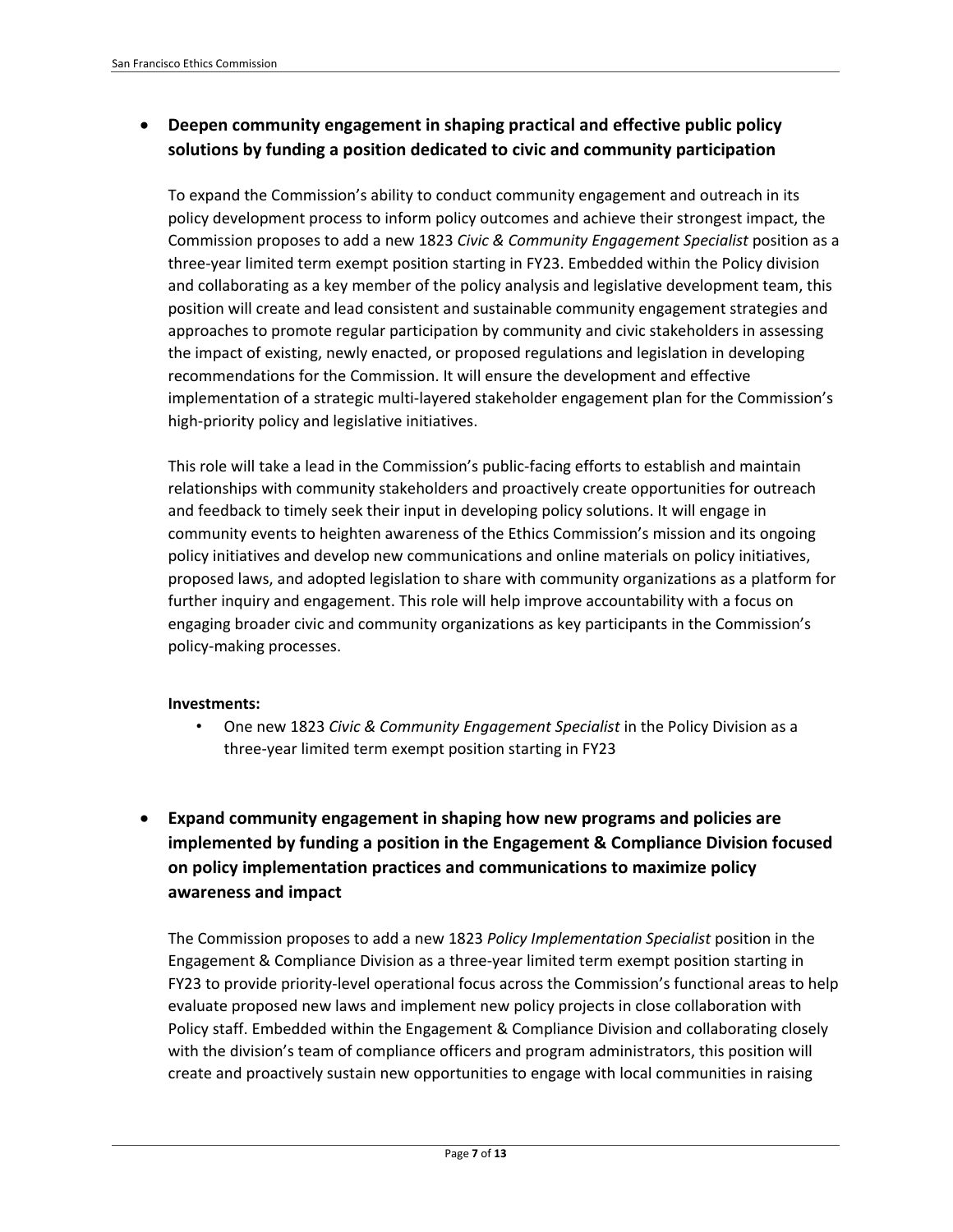## • **Deepen community engagement in shaping practical and effective public policy solutions by funding a position dedicated to civic and community participation**

To expand the Commission's ability to conduct community engagement and outreach in its policy development process to inform policy outcomes and achieve their strongest impact, the Commission proposes to add a new 1823 *Civic & Community Engagement Specialist* position as a three-year limited term exempt position starting in FY23. Embedded within the Policy division and collaborating as a key member of the policy analysis and legislative development team, this position will create and lead consistent and sustainable community engagement strategies and approaches to promote regular participation by community and civic stakeholders in assessing the impact of existing, newly enacted, or proposed regulations and legislation in developing recommendations for the Commission. It will ensure the development and effective implementation of a strategic multi-layered stakeholder engagement plan for the Commission's high-priority policy and legislative initiatives.

This role will take a lead in the Commission's public-facing efforts to establish and maintain relationships with community stakeholders and proactively create opportunities for outreach and feedback to timely seek their input in developing policy solutions. It will engage in community events to heighten awareness of the Ethics Commission's mission and its ongoing policy initiatives and develop new communications and online materials on policy initiatives, proposed laws, and adopted legislation to share with community organizations as a platform for further inquiry and engagement. This role will help improve accountability with a focus on engaging broader civic and community organizations as key participants in the Commission's policy-making processes.

### **Investments:**

- One new 1823 *Civic & Community Engagement Specialist* in the Policy Division as a three-year limited term exempt position starting in FY23
- **Expand community engagement in shaping how new programs and policies are implemented by funding a position in the Engagement & Compliance Division focused on policy implementation practices and communications to maximize policy awareness and impact**

The Commission proposes to add a new 1823 *Policy Implementation Specialist* position in the Engagement & Compliance Division as a three-year limited term exempt position starting in FY23 to provide priority-level operational focus across the Commission's functional areas to help evaluate proposed new laws and implement new policy projects in close collaboration with Policy staff. Embedded within the Engagement & Compliance Division and collaborating closely with the division's team of compliance officers and program administrators, this position will create and proactively sustain new opportunities to engage with local communities in raising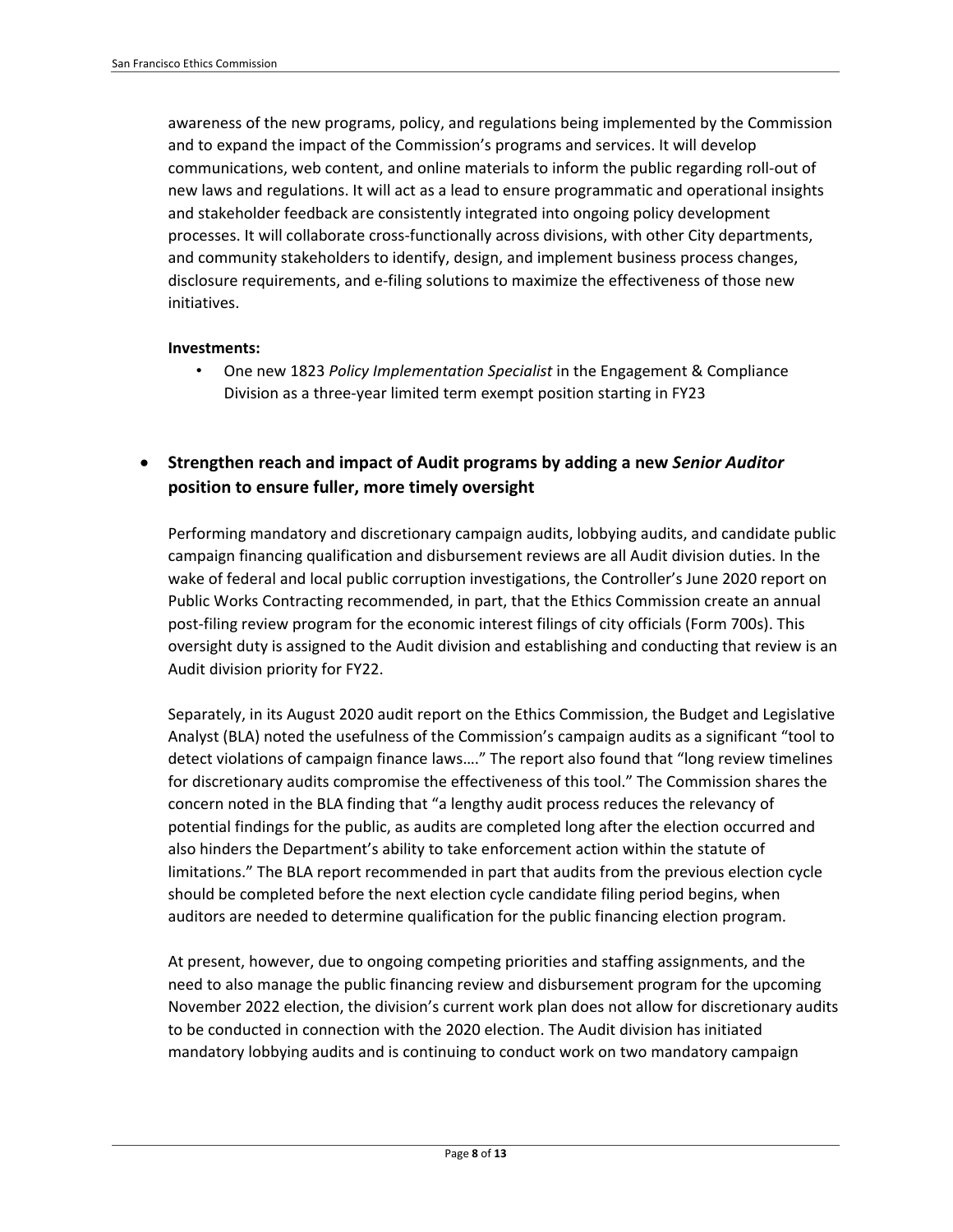awareness of the new programs, policy, and regulations being implemented by the Commission and to expand the impact of the Commission's programs and services. It will develop communications, web content, and online materials to inform the public regarding roll-out of new laws and regulations. It will act as a lead to ensure programmatic and operational insights and stakeholder feedback are consistently integrated into ongoing policy development processes. It will collaborate cross-functionally across divisions, with other City departments, and community stakeholders to identify, design, and implement business process changes, disclosure requirements, and e-filing solutions to maximize the effectiveness of those new initiatives.

#### **Investments:**

• One new 1823 *Policy Implementation Specialist* in the Engagement & Compliance Division as a three-year limited term exempt position starting in FY23

• **Strengthen reach and impact of Audit programs by adding a new** *Senior Auditor*  **position to ensure fuller, more timely oversight**

Performing mandatory and discretionary campaign audits, lobbying audits, and candidate public campaign financing qualification and disbursement reviews are all Audit division duties. In the wake of federal and local public corruption investigations, the Controller's June 2020 report on Public Works Contracting recommended, in part, that the Ethics Commission create an annual post-filing review program for the economic interest filings of city officials (Form 700s). This oversight duty is assigned to the Audit division and establishing and conducting that review is an Audit division priority for FY22.

Separately, in its August 2020 audit report on the Ethics Commission, the Budget and Legislative Analyst (BLA) noted the usefulness of the Commission's campaign audits as a significant "tool to detect violations of campaign finance laws…." The report also found that "long review timelines for discretionary audits compromise the effectiveness of this tool." The Commission shares the concern noted in the BLA finding that "a lengthy audit process reduces the relevancy of potential findings for the public, as audits are completed long after the election occurred and also hinders the Department's ability to take enforcement action within the statute of limitations." The BLA report recommended in part that audits from the previous election cycle should be completed before the next election cycle candidate filing period begins, when auditors are needed to determine qualification for the public financing election program.

At present, however, due to ongoing competing priorities and staffing assignments, and the need to also manage the public financing review and disbursement program for the upcoming November 2022 election, the division's current work plan does not allow for discretionary audits to be conducted in connection with the 2020 election. The Audit division has initiated mandatory lobbying audits and is continuing to conduct work on two mandatory campaign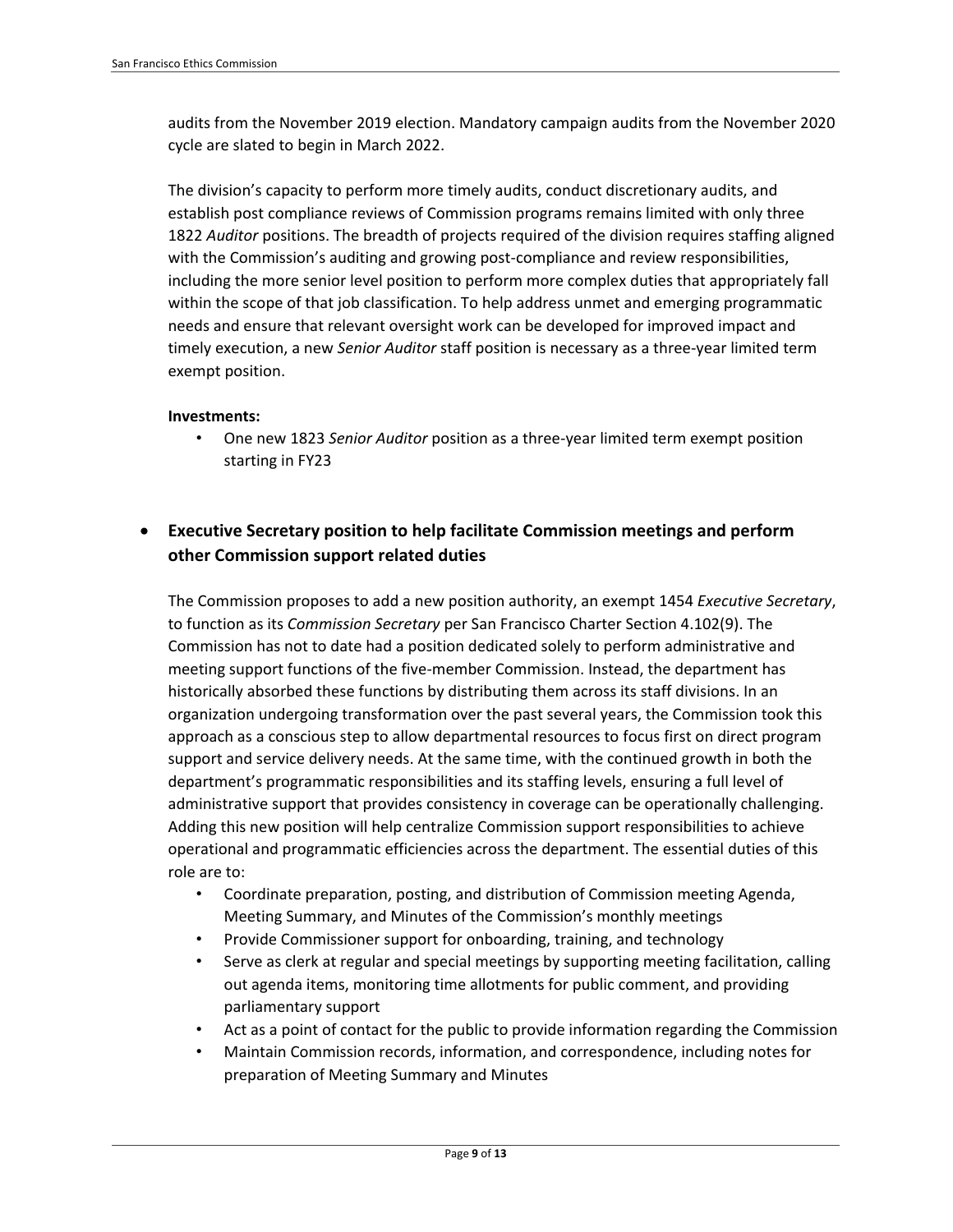audits from the November 2019 election. Mandatory campaign audits from the November 2020 cycle are slated to begin in March 2022.

The division's capacity to perform more timely audits, conduct discretionary audits, and establish post compliance reviews of Commission programs remains limited with only three 1822 *Auditor* positions. The breadth of projects required of the division requires staffing aligned with the Commission's auditing and growing post-compliance and review responsibilities, including the more senior level position to perform more complex duties that appropriately fall within the scope of that job classification. To help address unmet and emerging programmatic needs and ensure that relevant oversight work can be developed for improved impact and timely execution, a new *Senior Auditor* staff position is necessary as a three-year limited term exempt position.

#### **Investments:**

• One new 1823 *Senior Auditor* position as a three-year limited term exempt position starting in FY23

## • **Executive Secretary position to help facilitate Commission meetings and perform other Commission support related duties**

The Commission proposes to add a new position authority, an exempt 1454 *Executive Secretary*, to function as its *Commission Secretary* per San Francisco Charter Section 4.102(9). The Commission has not to date had a position dedicated solely to perform administrative and meeting support functions of the five-member Commission. Instead, the department has historically absorbed these functions by distributing them across its staff divisions. In an organization undergoing transformation over the past several years, the Commission took this approach as a conscious step to allow departmental resources to focus first on direct program support and service delivery needs. At the same time, with the continued growth in both the department's programmatic responsibilities and its staffing levels, ensuring a full level of administrative support that provides consistency in coverage can be operationally challenging. Adding this new position will help centralize Commission support responsibilities to achieve operational and programmatic efficiencies across the department. The essential duties of this role are to:

- Coordinate preparation, posting, and distribution of Commission meeting Agenda, Meeting Summary, and Minutes of the Commission's monthly meetings
- Provide Commissioner support for onboarding, training, and technology
- Serve as clerk at regular and special meetings by supporting meeting facilitation, calling out agenda items, monitoring time allotments for public comment, and providing parliamentary support
- Act as a point of contact for the public to provide information regarding the Commission
- Maintain Commission records, information, and correspondence, including notes for preparation of Meeting Summary and Minutes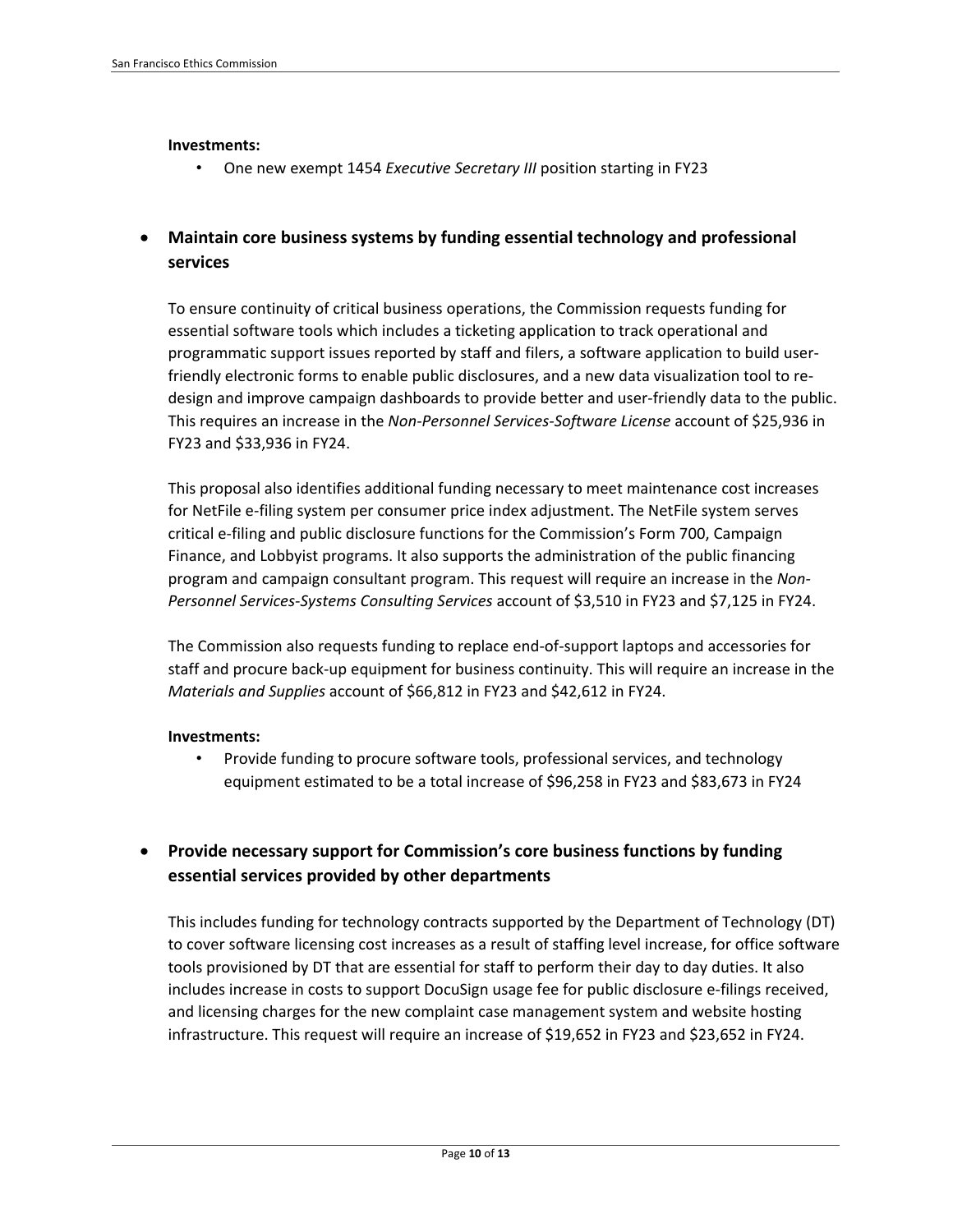#### **Investments:**

• One new exempt 1454 *Executive Secretary III* position starting in FY23

### • **Maintain core business systems by funding essential technology and professional services**

To ensure continuity of critical business operations, the Commission requests funding for essential software tools which includes a ticketing application to track operational and programmatic support issues reported by staff and filers, a software application to build userfriendly electronic forms to enable public disclosures, and a new data visualization tool to redesign and improve campaign dashboards to provide better and user-friendly data to the public. This requires an increase in the *Non-Personnel Services-Software License* account of \$25,936 in FY23 and \$33,936 in FY24.

This proposal also identifies additional funding necessary to meet maintenance cost increases for NetFile e-filing system per consumer price index adjustment. The NetFile system serves critical e-filing and public disclosure functions for the Commission's Form 700, Campaign Finance, and Lobbyist programs. It also supports the administration of the public financing program and campaign consultant program. This request will require an increase in the *Non-Personnel Services-Systems Consulting Services* account of \$3,510 in FY23 and \$7,125 in FY24.

The Commission also requests funding to replace end-of-support laptops and accessories for staff and procure back-up equipment for business continuity. This will require an increase in the *Materials and Supplies* account of \$66,812 in FY23 and \$42,612 in FY24.

#### **Investments:**

• Provide funding to procure software tools, professional services, and technology equipment estimated to be a total increase of \$96,258 in FY23 and \$83,673 in FY24

## • **Provide necessary support for Commission's core business functions by funding essential services provided by other departments**

This includes funding for technology contracts supported by the Department of Technology (DT) to cover software licensing cost increases as a result of staffing level increase, for office software tools provisioned by DT that are essential for staff to perform their day to day duties. It also includes increase in costs to support DocuSign usage fee for public disclosure e-filings received, and licensing charges for the new complaint case management system and website hosting infrastructure. This request will require an increase of \$19,652 in FY23 and \$23,652 in FY24.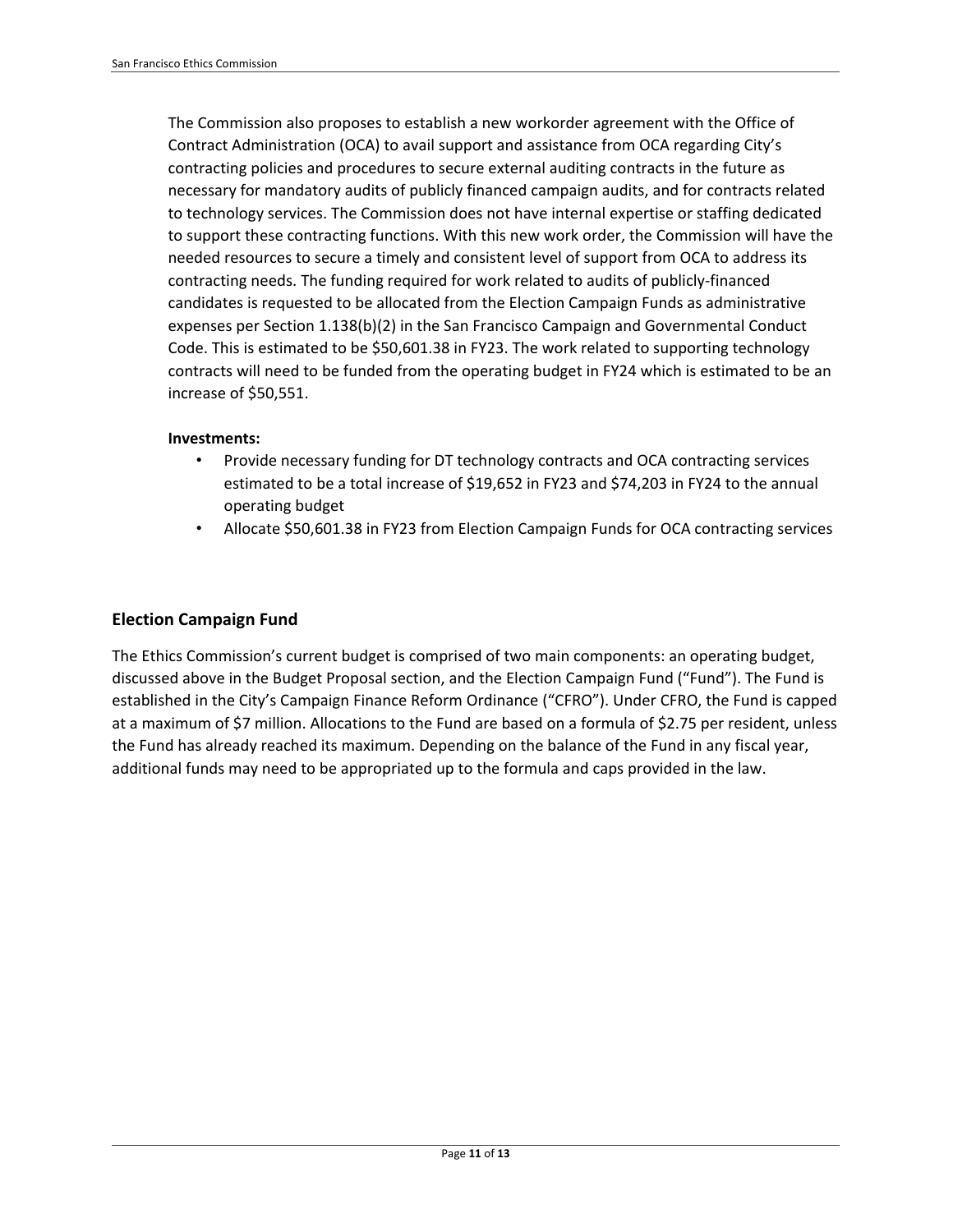The Commission also proposes to establish a new workorder agreement with the Office of Contract Administration (OCA) to avail support and assistance from OCA regarding City's contracting policies and procedures to secure external auditing contracts in the future as necessary for mandatory audits of publicly financed campaign audits, and for contracts related to technology services. The Commission does not have internal expertise or staffing dedicated to support these contracting functions. With this new work order, the Commission will have the needed resources to secure a timely and consistent level of support from OCA to address its contracting needs. The funding required for work related to audits of publicly-financed candidates is requested to be allocated from the Election Campaign Funds as administrative expenses per Section 1.138(b)(2) in the San Francisco Campaign and Governmental Conduct Code. This is estimated to be \$50,601.38 in FY23. The work related to supporting technology contracts will need to be funded from the operating budget in FY24 which is estimated to be an increase of \$50,551.

#### **Investments:**

- Provide necessary funding for DT technology contracts and OCA contracting services estimated to be a total increase of \$19,652 in FY23 and \$74,203 in FY24 to the annual operating budget
- Allocate \$50,601.38 in FY23 from Election Campaign Funds for OCA contracting services

### **Election Campaign Fund**

The Ethics Commission's current budget is comprised of two main components: an operating budget, discussed above in the Budget Proposal section, and the Election Campaign Fund ("Fund"). The Fund is established in the City's Campaign Finance Reform Ordinance ("CFRO"). Under CFRO, the Fund is capped at a maximum of \$7 million. Allocations to the Fund are based on a formula of \$2.75 per resident, unless the Fund has already reached its maximum. Depending on the balance of the Fund in any fiscal year, additional funds may need to be appropriated up to the formula and caps provided in the law.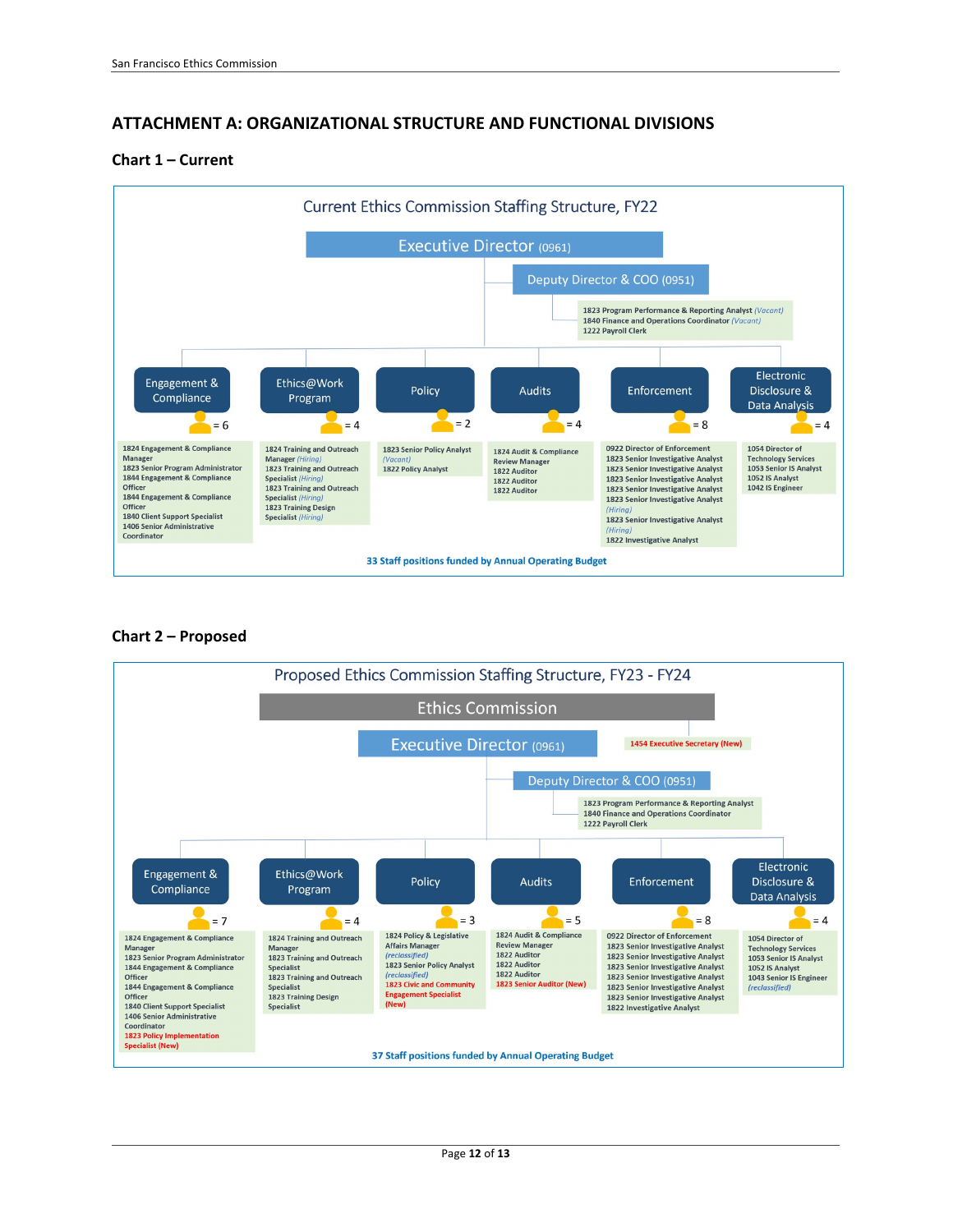### **ATTACHMENT A: ORGANIZATIONAL STRUCTURE AND FUNCTIONAL DIVISIONS**

#### **Chart 1 – Current**



#### **Chart 2 – Proposed**